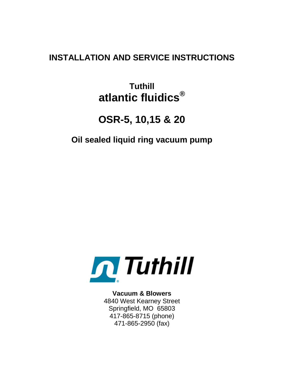## **INSTALLATION AND SERVICE INSTRUCTIONS**

# **Tuthill atlantic fluidics®**

# **OSR-5, 10,15 & 20**

## **Oil sealed liquid ring vacuum pump**



**Vacuum & Blowers** 4840 West Kearney Street Springfield, MO 65803 417-865-8715 (phone) 471-865-2950 (fax)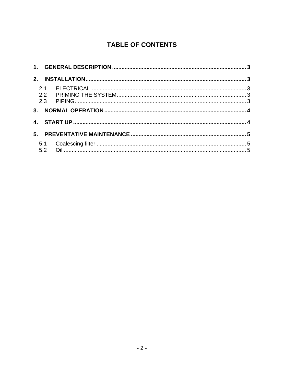## **TABLE OF CONTENTS**

| 2. |  |
|----|--|
|    |  |
|    |  |
|    |  |
|    |  |
|    |  |
| 5. |  |
|    |  |
|    |  |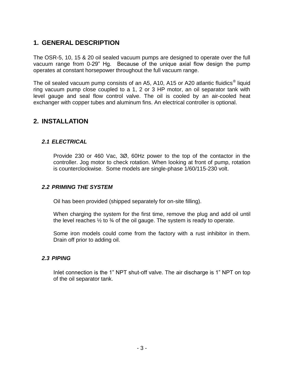## **1. GENERAL DESCRIPTION**

The OSR-5, 10, 15 & 20 oil sealed vacuum pumps are designed to operate over the full vacuum range from 0-29" Hg. Because of the unique axial flow design the pump operates at constant horsepower throughout the full vacuum range.

The oil sealed vacuum pump consists of an A5, A10, A15 or A20 atlantic fluidics<sup>®</sup> liquid ring vacuum pump close coupled to a 1, 2 or 3 HP motor, an oil separator tank with level gauge and seal flow control valve. The oil is cooled by an air-cooled heat exchanger with copper tubes and aluminum fins. An electrical controller is optional.

#### **2. INSTALLATION**

#### *2.1 ELECTRICAL*

Provide 230 or 460 Vac, 3Ø, 60Hz power to the top of the contactor in the controller. Jog motor to check rotation. When looking at front of pump, rotation is counterclockwise. Some models are single-phase 1/60/115-230 volt.

#### *2.2 PRIMING THE SYSTEM*

Oil has been provided (shipped separately for on-site filling).

When charging the system for the first time, remove the plug and add oil until the level reaches  $\frac{1}{2}$  to  $\frac{3}{4}$  of the oil gauge. The system is ready to operate.

Some iron models could come from the factory with a rust inhibitor in them. Drain off prior to adding oil.

#### *2.3 PIPING*

Inlet connection is the 1" NPT shut-off valve. The air discharge is 1" NPT on top of the oil separator tank.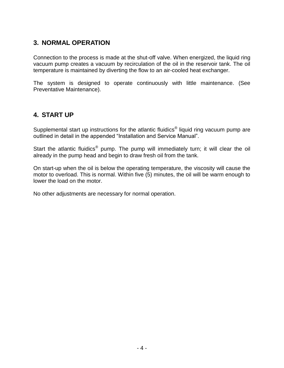### **3. NORMAL OPERATION**

Connection to the process is made at the shut-off valve. When energized, the liquid ring vacuum pump creates a vacuum by recirculation of the oil in the reservoir tank. The oil temperature is maintained by diverting the flow to an air-cooled heat exchanger.

The system is designed to operate continuously with little maintenance. (See Preventative Maintenance).

### **4. START UP**

Supplemental start up instructions for the atlantic fluidics<sup>®</sup> liquid ring vacuum pump are outlined in detail in the appended "Installation and Service Manual".

Start the atlantic fluidics<sup>®</sup> pump. The pump will immediately turn; it will clear the oil already in the pump head and begin to draw fresh oil from the tank.

On start-up when the oil is below the operating temperature, the viscosity will cause the motor to overload. This is normal. Within five (5) minutes, the oil will be warm enough to lower the load on the motor.

No other adjustments are necessary for normal operation.